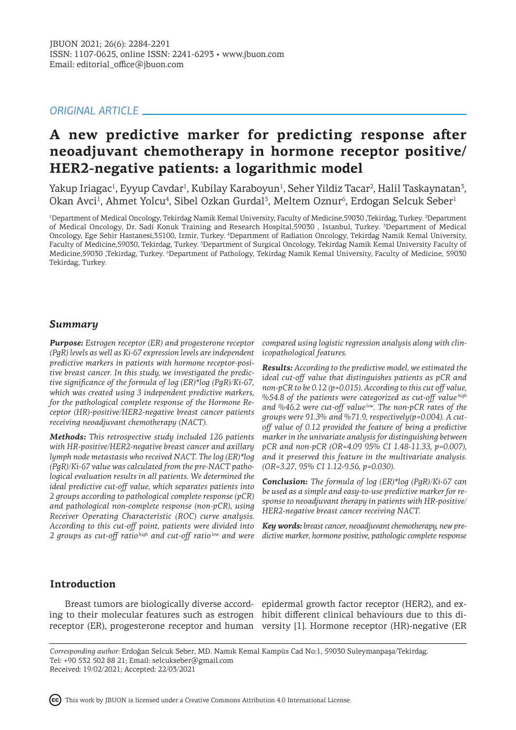# *ORIGINAL ARTICLE*

# **A new predictive marker for predicting response after neoadjuvant chemotherapy in hormone receptor positive/ HER2-negative patients: a logarithmic model**

Yakup Iriagac<sup>ı</sup>, Eyyup Cavdar<sup>ı</sup>, Kubilay Karaboyun<sup>ı</sup>, Seher Yildiz Tacar<sup>2</sup>, Halil Taskaynatan<sup>3</sup>, Okan Avci<sup>1</sup>, Ahmet Yolcu<sup>4</sup>, Sibel Ozkan Gurdal<sup>5</sup>, Meltem Oznur<sup>6</sup>, Erdogan Selcuk Seber<sup>1</sup>

1 Department of Medical Oncology, Tekirdag Namik Kemal University, Faculty of Medicine,59030 ,Tekirdag, Turkey. <sup>2</sup> Department of Medical Oncology, Dr. Sadi Konuk Training and Research Hospital,59030 , Istanbul, Turkey. <sup>3</sup> Department of Medical Oncology, Ege Sehir Hastanesi,35100, Izmir, Turkey. <sup>4</sup> Department of Radiation Oncology, Tekirdag Namik Kemal University, Faculty of Medicine,59030, Tekirdag, Turkey. <sup>5</sup>Department of Surgical Oncology, Tekirdag Namik Kemal University Faculty of Medicine,59030 ,Tekirdag, Turkey. <sup>6</sup> Department of Pathology, Tekirdag Namik Kemal University, Faculty of Medicine, 59030 Tekirdag, Turkey.

## *Summary*

*Purpose: Estrogen receptor (ER) and progesterone receptor (PgR) levels as well as Ki-67 expression levels are independent predictive markers in patients with hormone receptor-positive breast cancer. In this study, we investigated the predictive significance of the formula of log (ER)\*log (PgR)/Ki-67, which was created using 3 independent predictive markers, for the pathological complete response of the Hormone Receptor (HR)-positive/HER2-negative breast cancer patients receiving neoadjuvant chemotherapy (NACT).* 

*Methods: This retrospective study included 126 patients with HR-positive/HER2-negative breast cancer and axillary lymph node metastasis who received NACT. The log (ER)\*log (PgR)/Ki-67 value was calculated from the pre-NACT pathological evaluation results in all patients. We determined the ideal predictive cut-off value, which separates patients into 2 groups according to pathological complete response (pCR) and pathological non-complete response (non-pCR), using Receiver Operating Characteristic (ROC) curve analysis. According to this cut-off point, patients were divided into 2 groups as cut-off ratio high and cut-off ratio low and were* 

*compared using logistic regression analysis along with clinicopathological features.*

*Results: According to the predictive model, we estimated the ideal cut-off value that distinguishes patients as pCR and non-pCR to be 0.12 (p=0.015). According to this cut off value, %54.8 of the patients were categorized as cut-off value high and %46.2 were cut-off value low. The non-pCR rates of the groups were 91.3% and %71.9, respectively(p=0.004). A cutoff value of 0.12 provided the feature of being a predictive marker in the univariate analysis for distinguishing between pCR and non-pCR (OR=4.09 95% CI 1.48-11.33, p=0.007), and it preserved this feature in the multivariate analysis. (OR=3.27, 95% CI 1.12-9.56, p=0.030).*

*Conclusion: The formula of log (ER)\*log (PgR)/Ki-67 can be used as a simple and easy-to-use predictive marker for response to neoadjuvant therapy in patients with HR-positive/ HER2-negative breast cancer receiving NACT.* 

*Key words: breast cancer, neoadjuvant chemotherapy, new predictive marker, hormone positive, pathologic complete response*

### **Introduction**

ing to their molecular features such as estrogen hibit different clinical behaviours due to this di-

Breast tumors are biologically diverse accord-epidermal growth factor receptor (HER2), and exreceptor (ER), progesterone receptor and human versity [1]. Hormone receptor (HR)-negative (ER

*Corresponding author:* Erdoğan Selcuk Seber, MD. Namık Kemal Kampüs Cad No:1, 59030 Suleymanpaşa/Tekirdag. Tel: +90 532 502 88 21; Email: selcukseber@gmail.com Received: 19/02/2021; Accepted: 22/03/2021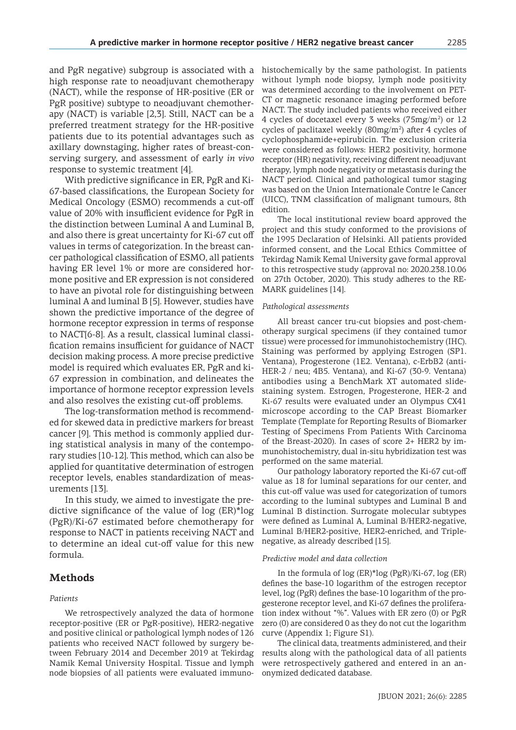and PgR negative) subgroup is associated with a high response rate to neoadjuvant chemotherapy (NACT), while the response of HR-positive (ER or PgR positive) subtype to neoadjuvant chemotherapy (NACT) is variable [2,3]. Still, NACT can be a preferred treatment strategy for the HR-positive patients due to its potential advantages such as axillary downstaging, higher rates of breast-conserving surgery, and assessment of early *in vivo* response to systemic treatment [4].

With predictive significance in ER, PgR and Ki-67-based classifications, the European Society for Medical Oncology (ESMO) recommends a cut-off value of 20% with insufficient evidence for PgR in the distinction between Luminal A and Luminal B, and also there is great uncertainty for Ki-67 cut off values in terms of categorization. In the breast cancer pathological classification of ESMO, all patients having ER level 1% or more are considered hormone positive and ER expression is not considered to have an pivotal role for distinguishing between luminal A and luminal B [5]. However, studies have shown the predictive importance of the degree of hormone receptor expression in terms of response to NACT[6-8]. As a result, classical luminal classification remains insufficient for guidance of NACT decision making process. A more precise predictive model is required which evaluates ER, PgR and ki-67 expression in combination, and delineates the importance of hormone receptor expression levels and also resolves the existing cut-off problems.

The log-transformation method is recommended for skewed data in predictive markers for breast cancer [9]. This method is commonly applied during statistical analysis in many of the contemporary studies [10-12]. This method, which can also be applied for quantitative determination of estrogen receptor levels, enables standardization of measurements [13].

In this study, we aimed to investigate the predictive significance of the value of log (ER)\*log (PgR)/Ki-67 estimated before chemotherapy for response to NACT in patients receiving NACT and to determine an ideal cut-off value for this new formula.

### **Methods**

### *Patients*

We retrospectively analyzed the data of hormone receptor-positive (ER or PgR-positive), HER2-negative and positive clinical or pathological lymph nodes of 126 patients who received NACT followed by surgery between February 2014 and December 2019 at Tekirdag Namik Kemal University Hospital. Tissue and lymph node biopsies of all patients were evaluated immunohistochemically by the same pathologist. In patients without lymph node biopsy, lymph node positivity was determined according to the involvement on PET-CT or magnetic resonance imaging performed before NACT. The study included patients who received either 4 cycles of docetaxel every 3 weeks  $(75mg/m<sup>2</sup>)$  or 12 cycles of paclitaxel weekly  $(80mg/m^2)$  after 4 cycles of cyclophosphamide+epirubicin. The exclusion criteria were considered as follows: HER2 positivity, hormone receptor (HR) negativity, receiving different neoadjuvant therapy, lymph node negativity or metastasis during the NACT period. Clinical and pathological tumor staging was based on the Union Internationale Contre le Cancer (UICC), TNM classification of malignant tumours, 8th edition.

The local institutional review board approved the project and this study conformed to the provisions of the 1995 Declaration of Helsinki. All patients provided informed consent, and the Local Ethics Committee of Tekirdag Namik Kemal University gave formal approval to this retrospective study (approval no: 2020.238.10.06 on 27th October, 2020). This study adheres to the RE-MARK guidelines [14].

#### *Pathological assessments*

All breast cancer tru-cut biopsies and post-chemotherapy surgical specimens (if they contained tumor tissue) were processed for immunohistochemistry (IHC). Staining was performed by applying Estrogen (SP1. Ventana), Progesterone (1E2. Ventana), c-ErbB2 (anti-HER-2 / neu; 4B5. Ventana), and Ki-67 (30-9. Ventana) antibodies using a BenchMark XT automated slidestaining system. Estrogen, Progesterone, HER-2 and Ki-67 results were evaluated under an Olympus CX41 microscope according to the CAP Breast Biomarker Template (Template for Reporting Results of Biomarker Testing of Specimens From Patients With Carcinoma of the Breast-2020). In cases of score 2+ HER2 by immunohistochemistry, dual in-situ hybridization test was performed on the same material.

Our pathology laboratory reported the Ki-67 cut-off value as 18 for luminal separations for our center, and this cut-off value was used for categorization of tumors according to the luminal subtypes and Luminal B and Luminal B distinction. Surrogate molecular subtypes were defined as Luminal A, Luminal B/HER2-negative, Luminal B/HER2-positive, HER2-enriched, and Triplenegative, as already described [15].

#### *Predictive model and data collection*

In the formula of log (ER)\*log (PgR)/Ki-67, log (ER) defines the base-10 logarithm of the estrogen receptor level, log (PgR) defines the base-10 logarithm of the progesterone receptor level, and Ki-67 defines the proliferation index without "%". Values with ER zero (0) or PgR zero (0) are considered 0 as they do not cut the logarithm curve (Appendix 1; Figure S1).

The clinical data, treatments administered, and their results along with the pathological data of all patients were retrospectively gathered and entered in an anonymized dedicated database.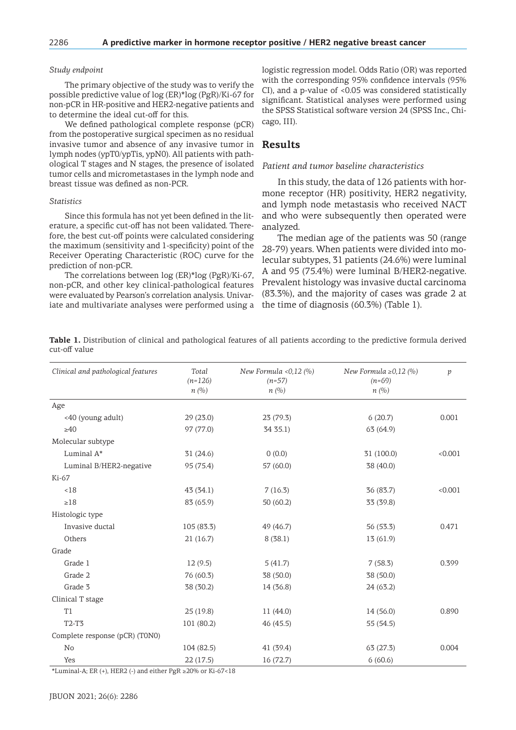### *Study endpoint*

The primary objective of the study was to verify the possible predictive value of log (ER)\*log (PgR)/Ki-67 for non-pCR in HR-positive and HER2-negative patients and to determine the ideal cut-off for this.

We defined pathological complete response (pCR) from the postoperative surgical specimen as no residual invasive tumor and absence of any invasive tumor in lymph nodes (ypT0/ypTis, ypN0). All patients with pathological T stages and N stages, the presence of isolated tumor cells and micrometastases in the lymph node and breast tissue was defined as non-PCR.

#### *Statistics*

Since this formula has not yet been defined in the literature, a specific cut-off has not been validated. Therefore, the best cut-off points were calculated considering the maximum (sensitivity and 1-specificity) point of the Receiver Operating Characteristic (ROC) curve for the prediction of non-pCR.

The correlations between log (ER)\*log (PgR)/Ki-67, non-pCR, and other key clinical-pathological features were evaluated by Pearson's correlation analysis. Univariate and multivariate analyses were performed using a logistic regression model. Odds Ratio (OR) was reported with the corresponding 95% confidence intervals (95% CI), and a p-value of <0.05 was considered statistically significant. Statistical analyses were performed using the SPSS Statistical software version 24 (SPSS Inc., Chicago, III).

### **Results**

### *Patient and tumor baseline characteristics*

In this study, the data of 126 patients with hormone receptor (HR) positivity, HER2 negativity, and lymph node metastasis who received NACT and who were subsequently then operated were analyzed.

The median age of the patients was 50 (range 28-79) years. When patients were divided into molecular subtypes, 31 patients (24.6%) were luminal A and 95 (75.4%) were luminal B/HER2-negative. Prevalent histology was invasive ductal carcinoma (83.3%), and the majority of cases was grade 2 at the time of diagnosis (60.3%) (Table 1).

**Table 1.** Distribution of clinical and pathological features of all patients according to the predictive formula derived cut-off value

| Clinical and pathological features | Total<br>$(n=126)$<br>n(%) | New Formula < $0,12$ (%)<br>$(n=57)$<br>$n(\%)$ | New Formula $\geq 0.12$ (%)<br>$(n=69)$<br>n(%) | $\mathcal{V}$ |
|------------------------------------|----------------------------|-------------------------------------------------|-------------------------------------------------|---------------|
| Age                                |                            |                                                 |                                                 |               |
| <40 (young adult)                  | 29(23.0)                   | 23 (79.3)                                       | 6(20.7)                                         | 0.001         |
| >40                                | 97 (77.0)                  | 34 35.1)                                        | 63 (64.9)                                       |               |
| Molecular subtype                  |                            |                                                 |                                                 |               |
| Luminal A*                         | 31(24.6)                   | 0(0.0)                                          | 31 (100.0)                                      | < 0.001       |
| Luminal B/HER2-negative            | 95 (75.4)                  | 57 (60.0)                                       | 38 (40.0)                                       |               |
| Ki-67                              |                            |                                                 |                                                 |               |
| < 18                               | 43(34.1)                   | 7(16.3)                                         | 36 (83.7)                                       | < 0.001       |
| $\geq 18$                          | 83 (65.9)                  | 50(60.2)                                        | 33 (39.8)                                       |               |
| Histologic type                    |                            |                                                 |                                                 |               |
| Invasive ductal                    | 105 (83.3)                 | 49 (46.7)                                       | 56 (53.3)                                       | 0.471         |
| Others                             | 21(16.7)                   | 8(38.1)                                         | 13 (61.9)                                       |               |
| Grade                              |                            |                                                 |                                                 |               |
| Grade 1                            | 12(9.5)                    | 5(41.7)                                         | 7(58.3)                                         | 0.399         |
| Grade 2                            | 76 (60.3)                  | 38 (50.0)                                       | 38 (50.0)                                       |               |
| Grade 3                            | 38 (30.2)                  | 14 (36.8)                                       | 24(63.2)                                        |               |
| Clinical T stage                   |                            |                                                 |                                                 |               |
| T1                                 | 25(19.8)                   | 11 (44.0)                                       | 14 (56.0)                                       | 0.890         |
| T2-T3                              | 101 (80.2)                 | 46(45.5)                                        | 55 (54.5)                                       |               |
| Complete response (pCR) (T0N0)     |                            |                                                 |                                                 |               |
| No                                 | 104 (82.5)                 | 41 (39.4)                                       | 63(27.3)                                        | 0.004         |
| Yes                                | 22(17.5)                   | 16 (72.7)                                       | 6(60.6)                                         |               |

\*Luminal-A; ER (+), HER2 (-) and either PgR ≥20% or Ki-67<18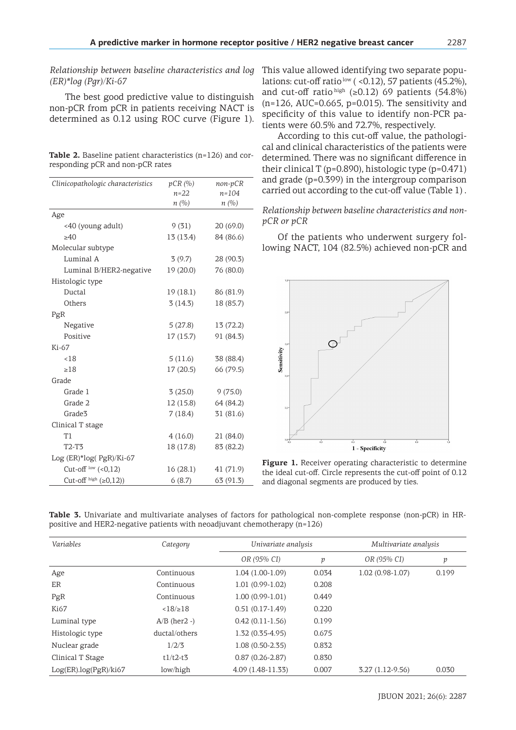*Relationship between baseline characteristics and log (ER)\*log (Pgr)/Ki-67*

The best good predictive value to distinguish non-pCR from pCR in patients receiving NACT is determined as 0.12 using ROC curve (Figure 1).

**Table 2.** Baseline patient characteristics (n=126) and corresponding pCR and non-pCR rates

| Clinicopathologic characteristics | pCR(%)    | non-pCR   |
|-----------------------------------|-----------|-----------|
|                                   | $n = 22$  | $n = 104$ |
|                                   | n(%)      | n (%)     |
| Age                               |           |           |
| <40 (young adult)                 | 9(31)     | 20(69.0)  |
| >40                               | 13 (13.4) | 84 (86.6) |
| Molecular subtype                 |           |           |
| Luminal A                         | 3(9.7)    | 28 (90.3) |
| Luminal B/HER2-negative           | 19(20.0)  | 76 (80.0) |
| Histologic type                   |           |           |
| Ductal                            | 19(18.1)  | 86 (81.9) |
| Others                            | 3(14.3)   | 18 (85.7) |
| PgR                               |           |           |
| Negative                          | 5(27.8)   | 13 (72.2) |
| Positive                          | 17(15.7)  | 91 (84.3) |
| Ki-67                             |           |           |
| < 18                              | 5(11.6)   | 38 (88.4) |
| >18                               | 17(20.5)  | 66 (79.5) |
| Grade                             |           |           |
| Grade 1                           | 3(25.0)   | 9(75.0)   |
| Grade 2                           | 12(15.8)  | 64 (84.2) |
| Grade <sup>3</sup>                | 7(18.4)   | 31 (81.6) |
| Clinical T stage                  |           |           |
| T1                                | 4(16.0)   | 21 (84.0) |
| T2-T3                             | 18 (17.8) | 83 (82.2) |
| Log (ER)*log( PgR)/Ki-67          |           |           |
| Cut-off $\frac{low}{(0,12)}$      | 16(28.1)  | 41 (71.9) |
| Cut-off $^{high}$ ( $\geq$ 0,12)) | 6(8.7)    | 63 (91.3) |

This value allowed identifying two separate populations: cut-off ratio  $\frac{low}{(}$  < 0.12), 57 patients (45.2%), and cut-off ratio high (≥0.12) 69 patients (54.8%)  $(n=126, \text{AUC}=0.665, \text{p}=0.015)$ . The sensitivity and specificity of this value to identify non-PCR patients were 60.5% and 72.7%, respectively.

According to this cut-off value, the pathological and clinical characteristics of the patients were determined. There was no significant difference in their clinical T (p=0.890), histologic type (p=0.471) and grade (p=0.399) in the intergroup comparison carried out according to the cut-off value (Table 1) .

*Relationship between baseline characteristics and nonpCR or pCR*

Of the patients who underwent surgery following NACT, 104 (82.5%) achieved non-pCR and



**Figure 1.** Receiver operating characteristic to determine the ideal cut-off. Circle represents the cut-off point of 0.12 and diagonal segments are produced by ties.

**Table 3.** Univariate and multivariate analyses of factors for pathological non-complete response (non-pCR) in HRpositive and HER2-negative patients with neoadjuvant chemotherapy (n=126)

| Variables             | Category           | Univariate analysis |       | Multivariate analysis |       |
|-----------------------|--------------------|---------------------|-------|-----------------------|-------|
|                       |                    | OR (95% CI)         | р     | OR (95% CI)           | р     |
| Age                   | Continuous         | $1.04(1.00-1.09)$   | 0.034 | $1.02(0.98-1.07)$     | 0.199 |
| ER                    | Continuous         | $1.01(0.99-1.02)$   | 0.208 |                       |       |
| PgR                   | Continuous         | $1.00(0.99-1.01)$   | 0.449 |                       |       |
| Ki67                  | $<18/\geq 18$      | $0.51(0.17-1.49)$   | 0.220 |                       |       |
| Luminal type          | $A/B$ (her $2 -$ ) | $0.42(0.11-1.56)$   | 0.199 |                       |       |
| Histologic type       | ductal/others      | $1.32(0.35-4.95)$   | 0.675 |                       |       |
| Nuclear grade         | 1/2/3              | $1.08(0.50-2.35)$   | 0.832 |                       |       |
| Clinical T Stage      | $t1/t2-t3$         | $0.87(0.26 - 2.87)$ | 0.830 |                       |       |
| Log(ER).log(PgR)/ki67 | low/high           | 4.09 (1.48-11.33)   | 0.007 | $3.27(1.12-9.56)$     | 0.030 |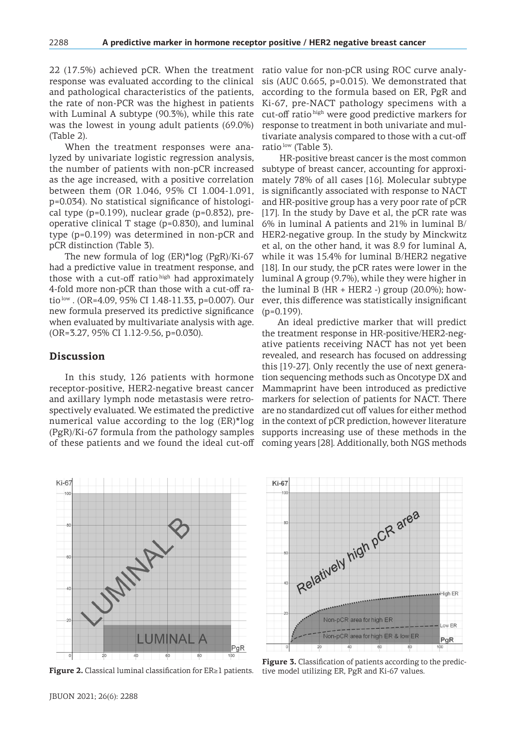22 (17.5%) achieved pCR. When the treatment response was evaluated according to the clinical and pathological characteristics of the patients, the rate of non-PCR was the highest in patients with Luminal A subtype (90.3%), while this rate was the lowest in young adult patients (69.0%) (Table 2).

When the treatment responses were analyzed by univariate logistic regression analysis, the number of patients with non-pCR increased as the age increased, with a positive correlation between them (OR 1.046, 95% CI 1.004-1.091, p=0.034). No statistical significance of histological type (p=0.199), nuclear grade (p=0.832), preoperative clinical T stage (p=0.830), and luminal type (p=0.199) was determined in non-pCR and pCR distinction (Table 3).

The new formula of log (ER)\*log (PgR)/Ki-67 had a predictive value in treatment response, and those with a cut-off ratio high had approximately 4-fold more non-pCR than those with a cut-off ratio<sup>low</sup> . (OR=4.09, 95% CI 1.48-11.33, p=0.007). Our new formula preserved its predictive significance when evaluated by multivariate analysis with age. (OR=3.27, 95% CI 1.12-9.56, p=0.030).

### **Discussion**

 $Ki-67$ 

In this study, 126 patients with hormone receptor-positive, HER2-negative breast cancer and axillary lymph node metastasis were retrospectively evaluated. We estimated the predictive numerical value according to the log (ER)\*log (PgR)/Ki-67 formula from the pathology samples of these patients and we found the ideal cut-off coming years [28]. Additionally, both NGS methods

ratio value for non-pCR using ROC curve analysis (AUC 0.665, p=0.015). We demonstrated that according to the formula based on ER, PgR and Ki-67, pre-NACT pathology specimens with a cut-off ratio high were good predictive markers for response to treatment in both univariate and multivariate analysis compared to those with a cut-off ratio<sup>low</sup> (Table 3).

 HR-positive breast cancer is the most common subtype of breast cancer, accounting for approximately 78% of all cases [16]. Molecular subtype is significantly associated with response to NACT and HR-positive group has a very poor rate of pCR [17]. In the study by Dave et al, the pCR rate was 6% in luminal A patients and 21% in luminal B/ HER2-negative group. In the study by Minckwitz et al, on the other hand, it was 8.9 for luminal A, while it was 15.4% for luminal B/HER2 negative [18]. In our study, the pCR rates were lower in the luminal A group (9.7%), while they were higher in the luminal B (HR + HER2 -) group  $(20.0\%)$ ; however, this difference was statistically insignificant  $(p=0.199)$ .

An ideal predictive marker that will predict the treatment response in HR-positive/HER2-negative patients receiving NACT has not yet been revealed, and research has focused on addressing this [19-27]. Only recently the use of next generation sequencing methods such as Oncotype DX and Mammaprint have been introduced as predictive markers for selection of patients for NACT. There are no standardized cut off values for either method in the context of pCR prediction, however literature supports increasing use of these methods in the

 $10$ MARY 18 **LUMINAL A** PgR  $^{40}$ 

**Figure 2.** Classical luminal classification for ER≥1 patients.



**Figure 3.** Classification of patients according to the predictive model utilizing ER, PgR and Ki-67 values.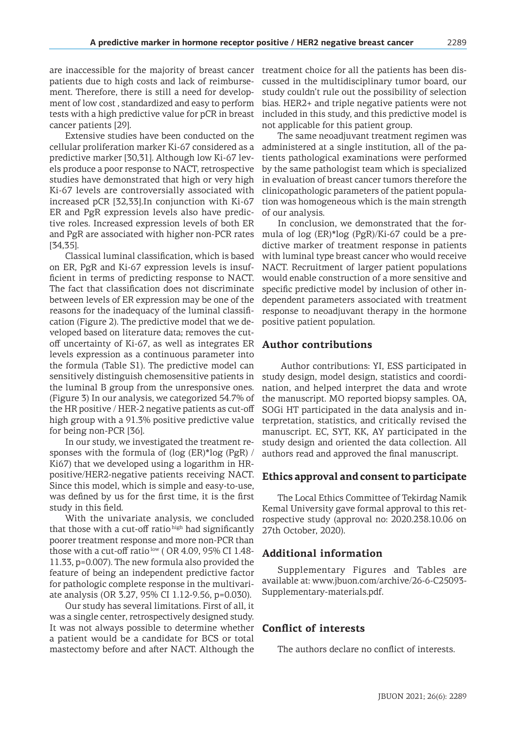are inaccessible for the majority of breast cancer patients due to high costs and lack of reimbursement. Therefore, there is still a need for development of low cost , standardized and easy to perform tests with a high predictive value for pCR in breast cancer patients [29].

Extensive studies have been conducted on the cellular proliferation marker Ki-67 considered as a predictive marker [30,31]. Although low Ki-67 levels produce a poor response to NACT, retrospective studies have demonstrated that high or very high Ki-67 levels are controversially associated with increased pCR [32,33].In conjunction with Ki-67 ER and PgR expression levels also have predictive roles. Increased expression levels of both ER and PgR are associated with higher non-PCR rates [34,35].

Classical luminal classification, which is based on ER, PgR and Ki-67 expression levels is insufficient in terms of predicting response to NACT. The fact that classification does not discriminate between levels of ER expression may be one of the reasons for the inadequacy of the luminal classification (Figure 2). The predictive model that we developed based on literature data; removes the cutoff uncertainty of Ki-67, as well as integrates ER levels expression as a continuous parameter into the formula (Table S1). The predictive model can sensitively distinguish chemosensitive patients in the luminal B group from the unresponsive ones. (Figure 3) In our analysis, we categorized 54.7% of the HR positive / HER-2 negative patients as cut-off high group with a 91.3% positive predictive value for being non-PCR [36].

In our study, we investigated the treatment responses with the formula of (log (ER)\*log (PgR) / Ki67) that we developed using a logarithm in HRpositive/HER2-negative patients receiving NACT. Since this model, which is simple and easy-to-use, was defined by us for the first time, it is the first study in this field.

With the univariate analysis, we concluded that those with a cut-off ratio high had significantly poorer treatment response and more non-PCR than those with a cut-off ratio<sup>low</sup> (OR 4.09, 95% CI 1.48-11.33, p=0.007). The new formula also provided the feature of being an independent predictive factor for pathologic complete response in the multivariate analysis (OR 3.27, 95% CI 1.12-9.56, p=0.030).

Our study has several limitations. First of all, it was a single center, retrospectively designed study. It was not always possible to determine whether a patient would be a candidate for BCS or total mastectomy before and after NACT. Although the

treatment choice for all the patients has been discussed in the multidisciplinary tumor board, our study couldn't rule out the possibility of selection bias. HER2+ and triple negative patients were not included in this study, and this predictive model is not applicable for this patient group.

The same neoadjuvant treatment regimen was administered at a single institution, all of the patients pathological examinations were performed by the same pathologist team which is specialized in evaluation of breast cancer tumors therefore the clinicopathologic parameters of the patient population was homogeneous which is the main strength of our analysis.

In conclusion, we demonstrated that the formula of log (ER)\*log (PgR)/Ki-67 could be a predictive marker of treatment response in patients with luminal type breast cancer who would receive NACT. Recruitment of larger patient populations would enable construction of a more sensitive and specific predictive model by inclusion of other independent parameters associated with treatment response to neoadjuvant therapy in the hormone positive patient population.

## **Author contributions**

 Author contributions: YI, ESS participated in study design, model design, statistics and coordination, and helped interpret the data and wrote the manuscript. MO reported biopsy samples. OA, SOGi HT participated in the data analysis and interpretation, statistics, and critically revised the manuscript. EC, SYT, KK, AY participated in the study design and oriented the data collection. All authors read and approved the final manuscript.

### **Ethics approval and consent to participate**

The Local Ethics Committee of Tekirdag Namik Kemal University gave formal approval to this retrospective study (approval no: 2020.238.10.06 on 27th October, 2020).

# **Additional information**

Supplementary Figures and Tables are available at: www.jbuon.com/archive/26-6-C25093- Supplementary-materials.pdf.

# **Conflict of interests**

The authors declare no conflict of interests.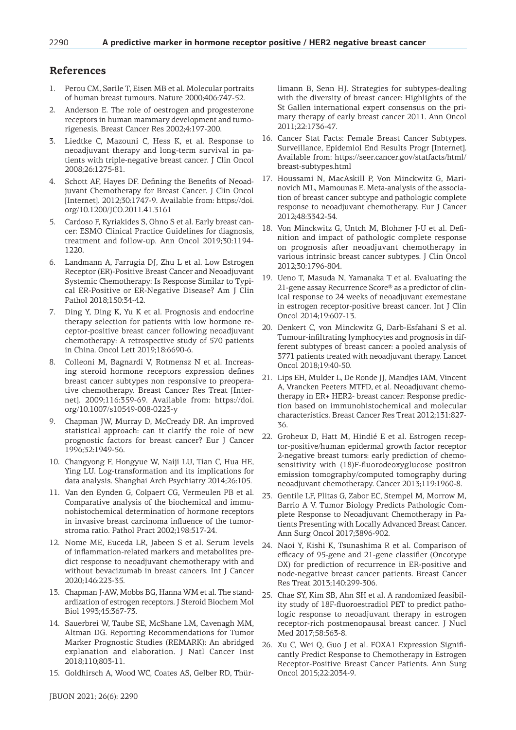# **References**

- 1. Perou CM, Sørile T, Eisen MB et al. Molecular portraits of human breast tumours. Nature 2000;406:747-52.
- 2. Anderson E. The role of oestrogen and progesterone receptors in human mammary development and tumorigenesis. Breast Cancer Res 2002;4:197-200.
- 3. Liedtke C, Mazouni C, Hess K, et al. Response to neoadjuvant therapy and long-term survival in patients with triple-negative breast cancer. J Clin Oncol 2008;26:1275-81.
- 4. Schott AF, Hayes DF. Defining the Benefits of Neoadjuvant Chemotherapy for Breast Cancer. J Clin Oncol [Internet]. 2012;30:1747-9. Available from: https://doi. org/10.1200/JCO.2011.41.3161
- 5. Cardoso F, Kyriakides S, Ohno S et al. Early breast cancer: ESMO Clinical Practice Guidelines for diagnosis, treatment and follow-up. Ann Oncol 2019;30:1194- 1220.
- 6. Landmann A, Farrugia DJ, Zhu L et al. Low Estrogen Receptor (ER)-Positive Breast Cancer and Neoadjuvant Systemic Chemotherapy: Is Response Similar to Typical ER-Positive or ER-Negative Disease? Am J Clin Pathol 2018;150:34-42.
- 7. Ding Y, Ding K, Yu K et al. Prognosis and endocrine therapy selection for patients with low hormone receptor‑positive breast cancer following neoadjuvant chemotherapy: A retrospective study of 570 patients in China. Oncol Lett 2019;18:6690-6.
- 8. Colleoni M, Bagnardi V, Rotmensz N et al. Increasing steroid hormone receptors expression defines breast cancer subtypes non responsive to preoperative chemotherapy. Breast Cancer Res Treat [Internet]. 2009;116:359-69. Available from: https://doi. org/10.1007/s10549-008-0223-y
- 9. Chapman JW, Murray D, McCready DR. An improved statistical approach: can it clarify the role of new prognostic factors for breast cancer? Eur J Cancer 1996;32:1949-56.
- 10. Changyong F, Hongyue W, Naiji LU, Tian C, Hua HE, Ying LU. Log-transformation and its implications for data analysis. Shanghai Arch Psychiatry 2014;26:105.
- 11. Van den Eynden G, Colpaert CG, Vermeulen PB et al. Comparative analysis of the biochemical and immunohistochemical determination of hormone receptors in invasive breast carcinoma influence of the tumorstroma ratio. Pathol Pract 2002;198:517-24.
- 12. Nome ME, Euceda LR, Jabeen S et al. Serum levels of inflammation-related markers and metabolites predict response to neoadjuvant chemotherapy with and without bevacizumab in breast cancers. Int J Cancer 2020;146:223-35.
- 13. Chapman J-AW, Mobbs BG, Hanna WM et al. The standardization of estrogen receptors. J Steroid Biochem Mol Biol 1993;45:367-73.
- 14. Sauerbrei W, Taube SE, McShane LM, Cavenagh MM, Altman DG. Reporting Recommendations for Tumor Marker Prognostic Studies (REMARK): An abridged explanation and elaboration. J Natl Cancer Inst 2018;110;803-11.
- 15. Goldhirsch A, Wood WC, Coates AS, Gelber RD, Thür-

limann B, Senn HJ. Strategies for subtypes-dealing with the diversity of breast cancer: Highlights of the St Gallen international expert consensus on the primary therapy of early breast cancer 2011. Ann Oncol 2011;22:1736-47.

- 16. Cancer Stat Facts: Female Breast Cancer Subtypes. Surveillance, Epidemiol End Results Progr [Internet]. Available from: https://seer.cancer.gov/statfacts/html/ breast-subtypes.html
- 17. Houssami N, MacAskill P, Von Minckwitz G, Marinovich ML, Mamounas E. Meta-analysis of the association of breast cancer subtype and pathologic complete response to neoadjuvant chemotherapy. Eur J Cancer 2012;48:3342-54.
- 18. Von Minckwitz G, Untch M, Blohmer J-U et al. Definition and impact of pathologic complete response on prognosis after neoadjuvant chemotherapy in various intrinsic breast cancer subtypes. J Clin Oncol 2012;30:1796-804.
- 19. Ueno T, Masuda N, Yamanaka T et al. Evaluating the 21-gene assay Recurrence Score® as a predictor of clinical response to 24 weeks of neoadjuvant exemestane in estrogen receptor-positive breast cancer. Int J Clin Oncol 2014;19:607-13.
- 20. Denkert C, von Minckwitz G, Darb-Esfahani S et al. Tumour-infiltrating lymphocytes and prognosis in different subtypes of breast cancer: a pooled analysis of 3771 patients treated with neoadjuvant therapy. Lancet Oncol 2018;19:40-50.
- 21. Lips EH, Mulder L, De Ronde JJ, Mandjes IAM, Vincent A, Vrancken Peeters MTFD, et al. Neoadjuvant chemotherapy in ER+ HER2- breast cancer: Response prediction based on immunohistochemical and molecular characteristics. Breast Cancer Res Treat 2012;131:827- 36.
- 22. Groheux D, Hatt M, Hindié E et al. Estrogen receptor-positive/human epidermal growth factor receptor 2-negative breast tumors: early prediction of chemosensitivity with (18)F-fluorodeoxyglucose positron emission tomography/computed tomography during neoadjuvant chemotherapy. Cancer 2013;119:1960-8.
- 23. Gentile LF, Plitas G, Zabor EC, Stempel M, Morrow M, Barrio A V. Tumor Biology Predicts Pathologic Complete Response to Neoadjuvant Chemotherapy in Patients Presenting with Locally Advanced Breast Cancer. Ann Surg Oncol 2017;3896-902.
- 24. Naoi Y, Kishi K, Tsunashima R et al. Comparison of efficacy of 95-gene and 21-gene classifier (Oncotype DX) for prediction of recurrence in ER-positive and node-negative breast cancer patients. Breast Cancer Res Treat 2013;140:299-306.
- 25. Chae SY, Kim SB, Ahn SH et al. A randomized feasibility study of 18F-fluoroestradiol PET to predict pathologic response to neoadjuvant therapy in estrogen receptor-rich postmenopausal breast cancer. J Nucl Med 2017;58:563-8.
- 26. Xu C, Wei Q, Guo J et al. FOXA1 Expression Significantly Predict Response to Chemotherapy in Estrogen Receptor-Positive Breast Cancer Patients. Ann Surg Oncol 2015;22:2034-9.